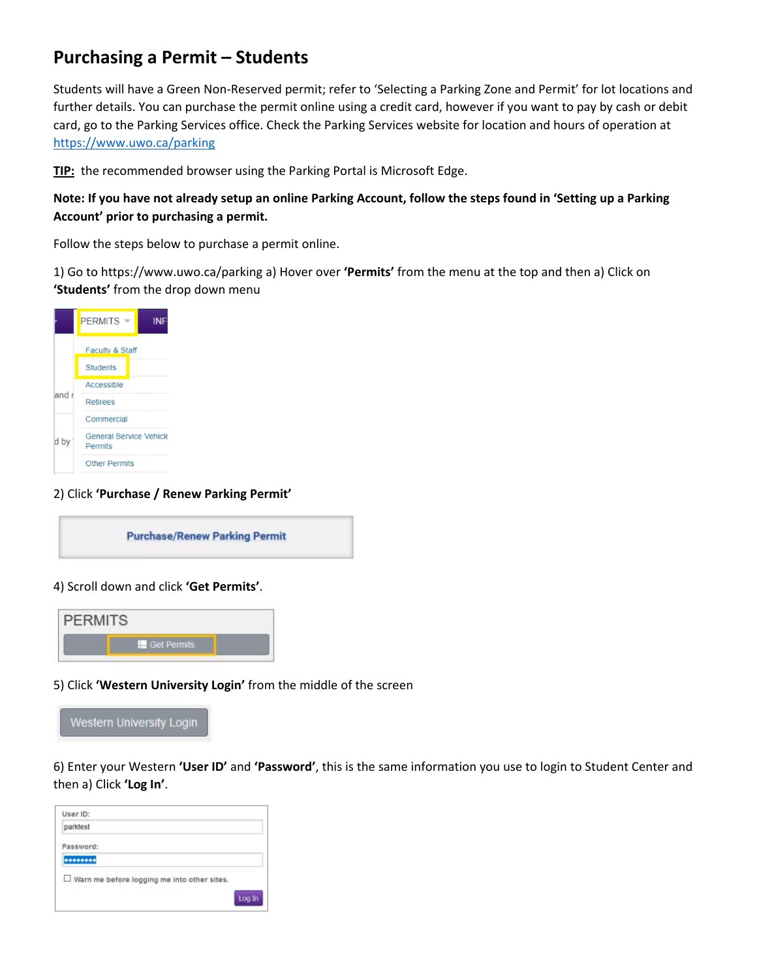## **Purchasing a Permit – Students**

Students will have a Green Non-Reserved permit; refer to 'Selecting a Parking Zone and Permit' for lot locations and further details. You can purchase the permit online using a credit card, however if you want to pay by cash or debit card, go to the Parking Services office. Check the Parking Services website for location and hours of operation at <https://www.uwo.ca/parking>

**TIP:** the recommended browser using the Parking Portal is Microsoft Edge.

## **Note: If you have not already setup an online Parking Account, follow the steps found in 'Setting up a Parking Account' prior to purchasing a permit.**

Follow the steps below to purchase a permit online.

1) Go to https://www.uwo.ca/parking a) Hover over **'Permits'** from the menu at the top and then a) Click on **'Students'** from the drop down menu

|        | <b>PERMITS</b>                                   | INI |  |  |  |
|--------|--------------------------------------------------|-----|--|--|--|
|        | Faculty & Staff                                  |     |  |  |  |
|        | <b>Students</b>                                  |     |  |  |  |
|        | Accessible                                       |     |  |  |  |
| land i | Refirees                                         |     |  |  |  |
|        | Commercial                                       |     |  |  |  |
| d by   | <b>General Service Vehicle</b><br><b>Permits</b> |     |  |  |  |
|        | <b>Other Permits</b>                             |     |  |  |  |

2) Click **'Purchase / Renew Parking Permit'**

**Purchase/Renew Parking Permit** 

4) Scroll down and click **'Get Permits'**.



5) Click **'Western University Login'** from the middle of the screen



6) Enter your Western **'User ID'** and **'Password'**, this is the same information you use to login to Student Center and then a) Click **'Log In'**.

| parktest                                           |  |
|----------------------------------------------------|--|
| Password:                                          |  |
|                                                    |  |
|                                                    |  |
| $\Box$ Warn me before logging me into other sites. |  |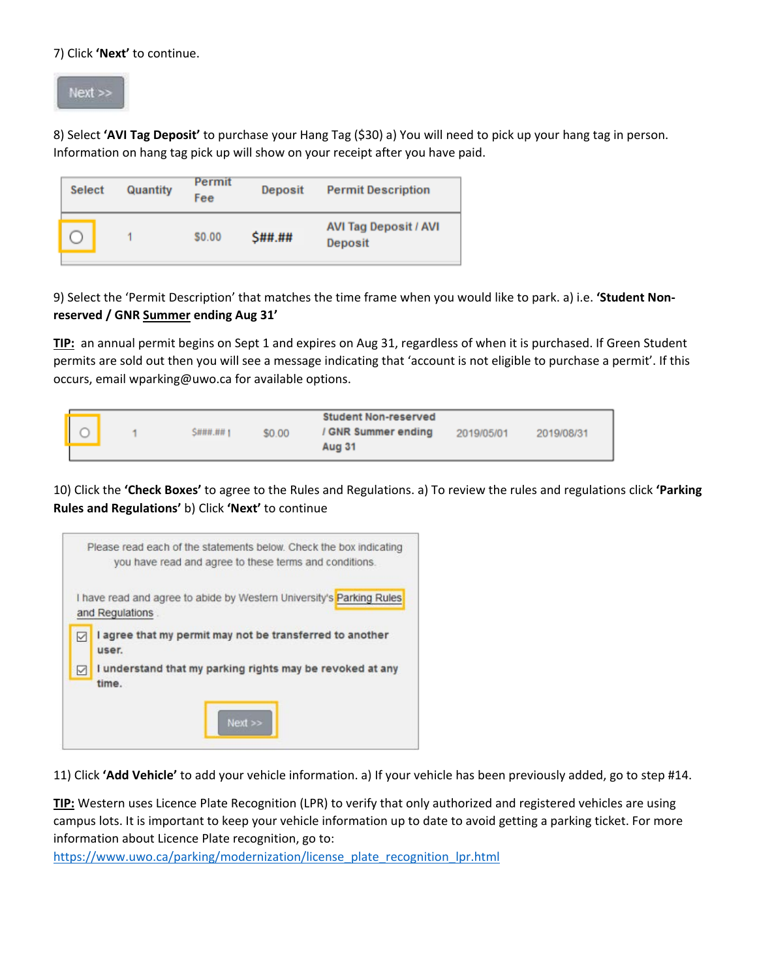7) Click **'Next'** to continue.



8) Select **'AVI Tag Deposit'** to purchase your Hang Tag (\$30) a) You will need to pick up your hang tag in person. Information on hang tag pick up will show on your receipt after you have paid.

| <b>Select</b> | Permit<br>Quantity<br>Fee | Deposit | <b>Permit Description</b>               |
|---------------|---------------------------|---------|-----------------------------------------|
|               | \$0.00                    | \$##.## | <b>AVI Tag Deposit / AVI</b><br>Deposit |

9) Select the 'Permit Description' that matches the time frame when you would like to park. a) i.e. **'Student Nonreserved / GNR Summer ending Aug 31'** 

**TIP:** an annual permit begins on Sept 1 and expires on Aug 31, regardless of when it is purchased. If Green Student permits are sold out then you will see a message indicating that 'account is not eligible to purchase a permit'. If this occurs, email wparking@uwo.ca for available options.

|  |                |        | <b>Student Non-reserved</b> |            |            |
|--|----------------|--------|-----------------------------|------------|------------|
|  | <b>S###.##</b> | \$0.00 | / GNR Summer ending         | 2019/05/01 | 2019/08/31 |
|  |                |        | Aug 31                      |            |            |

10) Click the **'Check Boxes'** to agree to the Rules and Regulations. a) To review the rules and regulations click **'Parking Rules and Regulations'** b) Click **'Next'** to continue



11) Click **'Add Vehicle'** to add your vehicle information. a) If your vehicle has been previously added, go to step #14.

**TIP:** Western uses Licence Plate Recognition (LPR) to verify that only authorized and registered vehicles are using campus lots. It is important to keep your vehicle information up to date to avoid getting a parking ticket. For more information about Licence Plate recognition, go to:

[https://www.uwo.ca/parking/modernization/license\\_plate\\_recognition\\_lpr.html](https://www.uwo.ca/parking/modernization/license_plate_recognition_lpr.html)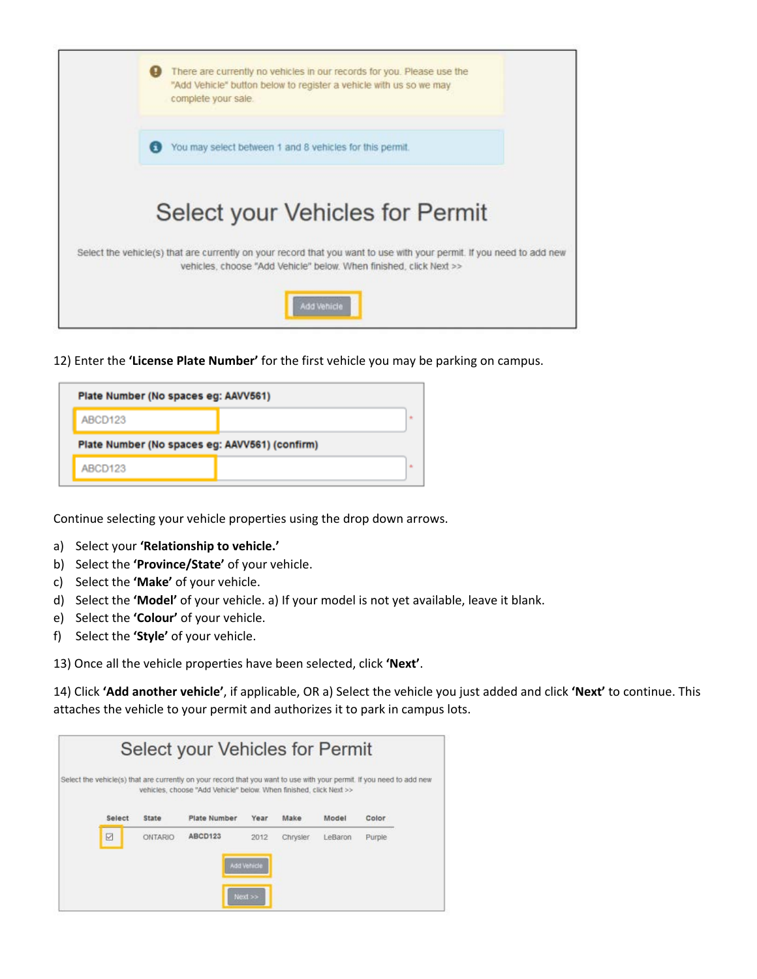

12) Enter the **'License Plate Number'** for the first vehicle you may be parking on campus.

| Plate Number (No spaces eg: AAVV561)           |  |       |  |  |  |  |
|------------------------------------------------|--|-------|--|--|--|--|
| ABCD123                                        |  | $\pm$ |  |  |  |  |
| Plate Number (No spaces eg: AAVV561) (confirm) |  |       |  |  |  |  |
| ABCD123                                        |  | ÷     |  |  |  |  |

Continue selecting your vehicle properties using the drop down arrows.

- a) Select your **'Relationship to vehicle.'**
- b) Select the **'Province/State'** of your vehicle.
- c) Select the **'Make'** of your vehicle.
- d) Select the **'Model'** of your vehicle. a) If your model is not yet available, leave it blank.
- e) Select the **'Colour'** of your vehicle.
- f) Select the **'Style'** of your vehicle.

13) Once all the vehicle properties have been selected, click **'Next'**.

14) Click **'Add another vehicle'**, if applicable, OR a) Select the vehicle you just added and click **'Next'** to continue. This attaches the vehicle to your permit and authorizes it to park in campus lots.

|        |                | Select your Vehicles for Permit                                                                                                                                                             |             |          |         |        |  |
|--------|----------------|---------------------------------------------------------------------------------------------------------------------------------------------------------------------------------------------|-------------|----------|---------|--------|--|
|        |                | Select the vehicle(s) that are currently on your record that you want to use with your permit. If you need to add new<br>vehicles, choose "Add Vehicle" below. When finished, click Next >> |             |          |         |        |  |
| Select | <b>State</b>   | <b>Plate Number</b>                                                                                                                                                                         | Year        | Make     | Model   | Color  |  |
| ☑      | <b>ONTARIO</b> | ABCD123                                                                                                                                                                                     | 2012        | Chrysler | LeBaron | Purple |  |
|        |                |                                                                                                                                                                                             | Add Vehicle |          |         |        |  |
|        |                |                                                                                                                                                                                             | $Next$ >>   |          |         |        |  |